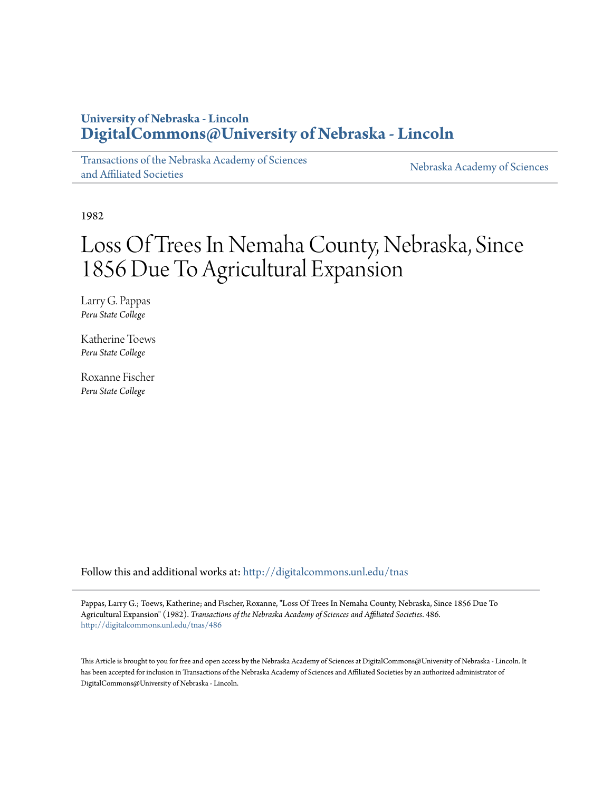# **University of Nebraska - Lincoln [DigitalCommons@University of Nebraska - Lincoln](http://digitalcommons.unl.edu?utm_source=digitalcommons.unl.edu%2Ftnas%2F486&utm_medium=PDF&utm_campaign=PDFCoverPages)**

[Transactions of the Nebraska Academy of Sciences](http://digitalcommons.unl.edu/tnas?utm_source=digitalcommons.unl.edu%2Ftnas%2F486&utm_medium=PDF&utm_campaign=PDFCoverPages) [and Affiliated Societies](http://digitalcommons.unl.edu/tnas?utm_source=digitalcommons.unl.edu%2Ftnas%2F486&utm_medium=PDF&utm_campaign=PDFCoverPages)

[Nebraska Academy of Sciences](http://digitalcommons.unl.edu/nebacadsci?utm_source=digitalcommons.unl.edu%2Ftnas%2F486&utm_medium=PDF&utm_campaign=PDFCoverPages)

1982

# Loss Of Trees In Nemaha County, Nebraska, Since 1856 Due To Agricultural Expansion

Larry G. Pappas *Peru State College*

Katherine Toews *Peru State College*

Roxanne Fischer *Peru State College*

Follow this and additional works at: [http://digitalcommons.unl.edu/tnas](http://digitalcommons.unl.edu/tnas?utm_source=digitalcommons.unl.edu%2Ftnas%2F486&utm_medium=PDF&utm_campaign=PDFCoverPages)

Pappas, Larry G.; Toews, Katherine; and Fischer, Roxanne, "Loss Of Trees In Nemaha County, Nebraska, Since 1856 Due To Agricultural Expansion" (1982). *Transactions of the Nebraska Academy of Sciences and Affiliated Societies*. 486. [http://digitalcommons.unl.edu/tnas/486](http://digitalcommons.unl.edu/tnas/486?utm_source=digitalcommons.unl.edu%2Ftnas%2F486&utm_medium=PDF&utm_campaign=PDFCoverPages)

This Article is brought to you for free and open access by the Nebraska Academy of Sciences at DigitalCommons@University of Nebraska - Lincoln. It has been accepted for inclusion in Transactions of the Nebraska Academy of Sciences and Affiliated Societies by an authorized administrator of DigitalCommons@University of Nebraska - Lincoln.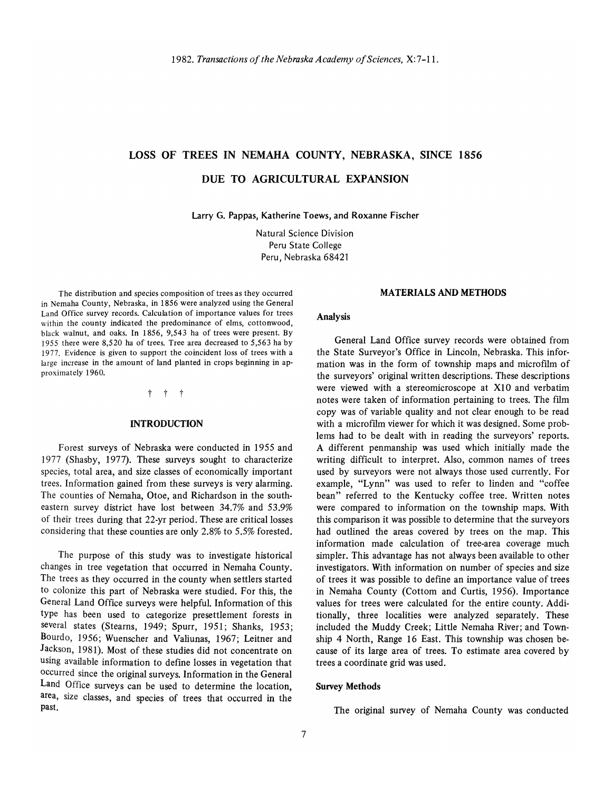# LOSS OF TREES IN NEMAHA COUNTY, NEBRASKA, SINCE 1856

# DUE TO AGRICULTURAL EXPANSION

Larry G. Pappas, Katherine Toews, and Roxanne Fischer

Natural Science Division Peru State College Peru, Nebraska 68421

The distribution and species composition of trees as they occurred in Nemaha County, Nebraska, in 1856 were analyzed using the General Land Office survey records. Calculation of importance values for trees within the county indicated the predominance of elms, cottonwood, black walnut, and oaks. In 1856, 9,543 ha of trees were present. By 1955 there were 8,520 ha of trees. Tree area decreased to 5,563 ha by 1977. Evidence is given to support the coincident loss of trees with a large increase in the amount of land planted in crops beginning in approximately 1960.

t t t

# INTRODUCTION

Forest surveys of Nebraska were conducted in 1955 and 1977 (Shasby, 1977). These surveys sought to characterize species, total area, and size classes of economically important trees. Information gained from these surveys is very alarming. The counties of Nernaha, Otoe, and Richardson in the southeastern survey district have lost between 34.7% and 53.9% of their trees during that 22-yr period. These are critical losses considering that these counties are only 2.8% to 5.5% forested.

The purpose of this study was to investigate historical changes in tree vegetation that occurred in Nemaha County. The trees as they occurred in the county when settlers started to colonize this part of Nebraska were studied. For this, the General Land Office surveys were helpful. Information of this type has been used to categorize presettlement forests in several states (Steams, 1949; Spurr, 1951; Shanks, 1953; Bourdo, 1956; Wuenscher and Valiunas, 1967; Leitner and Jackson, 1981). Most of these studies did not concentrate on using available information to define losses in vegetation that occurred since the original surveys. Information in the General Land Office surveys can be used to determine the location, area, size classes, and species of trees that occurred in the past.

## MATERIALS AND METHODS

#### Analysis

General Land Office survey records were obtained from the State Surveyor's Office in Lincoln, Nebraska. This information was in the form of township maps and microfilm of the surveyors' original written descriptions. These descriptions were viewed with a stereomicroscope at X10 and verbatim notes were taken of information pertaining to trees. The film copy was of variable quality and not clear enough to be read with a microfilm viewer for which it was designed. Some problems had to be dealt with in reading the surveyors' reports. A different penmanship was used which initially made the writing difficult to interpret. Also, common names of trees used by surveyors were not always those used currently. For example, "Lynn" was used to refer to linden and "coffee bean" referred to the Kentucky coffee tree. Written notes were compared to information on the township maps. With this comparison it was possible to determine that the surveyors had outlined the areas covered by trees on the map. This information made calculation of tree-area coverage much simpler. This advantage has not always been available to other investigators. With information on number of species and size of trees it was possible to define an importance value of trees in Nemaha County (Cottom and Curtis, 1956). Importance values for trees were calculated for the entire county. Additionally, three localities were analyzed separately. These included the Muddy Creek; Little Nemaha River; and Township 4 North, Range 16 East. This township was chosen because of its large area of trees. To estimate area covered by trees a coordinate grid was used.

#### Survey Methods

The original survey of Nemaha County was conducted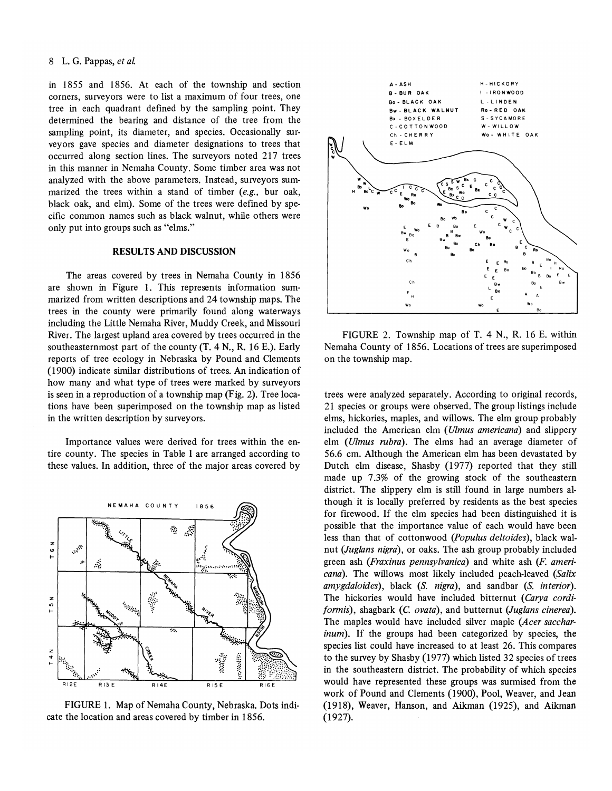# 8 L. G. Pappas, *et al.*

in 1855 and 1856. At each of the township and section corners, surveyors were to list a maximum of four trees, one tree in each quadrant defined by the sampling point. They determined the bearing and distance of the tree from the sampling point, its diameter, and species. Occasionally surveyors gave species and diameter designations to trees that occurred along section lines. The surveyors noted 217 trees in this manner in Nemaha County. Some timber area was not analyzed with the above parameters. Instead, surveyors summarized the trees within a stand of timber *(e.g.,* bur oak, black oak, and elm). Some of the trees were defined by specific common names such as black walnut, while others were only put into groups such as "elms."

# RESULTS AND DISCUSSION

The areas covered by trees in Nemaha County in 1856 are shown in Figure 1. This represents information summarized from written descriptions and 24 township maps. The trees in the county were primarily found along waterways including the Little Nemaha River, Muddy Creek, and Missouri River. The largest upland area covered by trees occurred in the southeasternmost part of the county  $(T, 4 \text{ N}, R, 16 \text{ E})$ . Early reports of tree ecology in Nebraska by Pound and Clements (1900) indicate similar distributions of trees. An indication of how many and what type of trees were marked by surveyors is seen in a reproduction of a township map (Fig. 2). Tree locations have been superimposed on the township map as listed in the written description by surveyors.

Importance values were derived for trees within the entire county. The species in Table I are arranged according to these values. In addition, three of the major areas covered by



FIGURE 1. Map of Nemaha County, Nebraska. Dots indicate the location and areas covered by timber in 1856.



FIGURE 2. Township map of T. 4 N., R. 16 E. within Nemaha County of 1856. Locations of trees are superimposed on the township map.

trees were analyzed separately. According to original records, 21 species or groups were observed. The group listings include elms, hickories, maples, and willows. The elm group probably included the American elm *(Ulmus americana)* and slippery elm *(Ulmus rubra).* The elms had an average diameter of 56.6 cm. Although the American elm has been devastated by Dutch elm disease, Shasby (1977) reported that they still made up 7.3% of the growing stock of the southeastern district. The slippery elm is still found in large numbers although it is locally preferred by residents as the best species for firewood. If the elm species had been distinguished it is possible that the importance value of each would have been less than that of cottonwood *(Populus delta ides)* , black walnut (Juglans nigra), or oaks. The ash group probably included green ash *(Fraxinus pennsylvanica)* and white ash (F. *americana).* The willows most likely included peach-leaved *(Sa/ix amygdala ides)* , black *(S. nigra),* and sandbar *(S. interior).*  The hickories would have included bitternut *(Carya cordi formis*), shagbark (C. *ovata*), and butternut *(Juglans cinerea)*. The maples would have included silver maple *(Acer saccharinum*). If the groups had been categorized by species, the species list could have increased to at least 26. This compares to the survey by Shasby (1977) which listed 32 species of trees in the southeastern district. The probability of which species would have represented these groups was surmised from the work of Pound and Clements (1900), Pool, Weaver, and Jean (1918), Weaver, Hanson, and Aikman (1925), and Aikman (1927).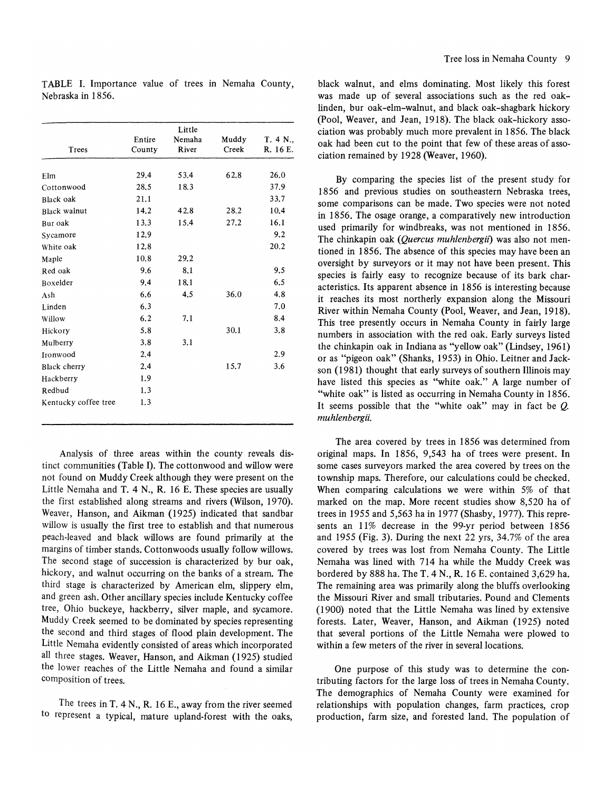|                   | TABLE I. Importance value of trees in Nemaha County, |  |  |  |
|-------------------|------------------------------------------------------|--|--|--|
| Nebraska in 1856. |                                                      |  |  |  |

|                      |        | Little | Muddy | T. 4 N.,<br>R. 16 E. |
|----------------------|--------|--------|-------|----------------------|
|                      | Entire | Nemaha |       |                      |
| Trees                | County | River  | Creek |                      |
| Elm                  | 29.4   | 53.4   | 62.8  | 26.0                 |
| Cottonwood           | 28.5   | 18.3   |       | 37.9                 |
| Black oak            | 21.1   |        |       | 33.7                 |
| <b>Black walnut</b>  | 14.2   | 42.8   | 28.2  | 10.4                 |
| Bur oak              | 13.3   | 15.4   | 27.2  | 16.1                 |
| Svcamore             | 12.9   |        |       | 9.2                  |
| White oak            | 12.8   |        |       | 20.2                 |
| Maple                | 10.8   | 29.2   |       |                      |
| Red oak              | 9.6    | 8.1    |       | 9.5                  |
| Boxelder             | 9.4    | 18.1   |       | 6.5                  |
| Ash                  | 6.6    | 4.5    | 36.0  | 4.8                  |
| Linden               | 6.3    |        |       | 7.0                  |
| Willow               | 6, 2   | 7.1    |       | 8.4                  |
| Hickory              | 5.8    |        | 30.1  | 3.8                  |
| Mulberry             | 3.8    | 3.1    |       |                      |
| Ironwood             | 2,4    |        |       | 2.9                  |
| Black cherry         | 2.4    |        | 15.7  | 3.6                  |
| Hackberry            | 1.9    |        |       |                      |
| Redbud               | 1.3    |        |       |                      |
| Kentucky coffee tree | 1.3    |        |       |                      |

Analysis of three areas within the county reveals distinct communities (Table I). The cottonwood and willow were not found on Muddy Creek although they were present on the Little Nemaha and T. 4 N., R. 16 E. These species are usually the first established along streams and rivers (Wilson, 1970). Weaver, Hanson, and Aikman (1925) indicated that sandbar willow is usually the first tree to establish and that numerous peach-leaved and black willows are found primarily at the margins of timber stands. Cottonwoods usually follow willows. The second stage of succession is characterized by bur oak, hickory, and walnut occurring on the banks of a stream. The third stage is characterized by American elm, slippery elm, and green ash. Other ancillary species include Kentucky coffee tree, Ohio buckeye, hackberry, silver maple, and sycamore. Muddy Creek seemed to be dominated by species representing the second and third stages of flood plain development. The Little Nemaha evidently consisted of areas which incorporated all three stages. Weaver, Hanson, and Aikman (1925) studied the lower reaches of the Little Nemaha and found a similar composition of trees.

The trees in T. 4 N., R. 16 E., away from the river seemed to represent a typical, mature upland-forest with the oaks,

black walnut, and elms dominating. Most likely this forest was made up of several associations such as the red oaklinden, bur oak-elm-walnut, and black oak-shagbark hickory (Pool, Weaver, and Jean, 1918). The black oak-hickory association was probably much more prevalent in 1856. The black oak had been cut to the point that few of these areas of association remained by 1928 (Weaver, 1960).

By comparing the species list of the present study for 1856 and previous studies on southeastern Nebraska trees, some comparisons can be made. Two species were not noted in 1856. The osage orange, a comparatively new introduction used primarily for windbreaks, was not mentioned in 1856. The chinkapin oak *(Quercus muhlenbergii*) was also not mentioned in 1856. The absence of this species may have been an oversight by surveyors or it may not have been present. This species is fairly easy to recognize because of its bark characteristics. Its apparent absence in 1856 is interesting because it reaches its most northerly expansion along the Missouri River within Nemaha County (Pool, Weaver, and Jean, 1918). This tree presently occurs in Nemaha County in fairly large numbers in association with the red oak. Early surveys listed the chinkapin oak in Indiana as "yellow oak" (Lindsey, 1961) or as "pigeon oak" (Shanks, 1953) in Ohio. Leitner and Jackson (1981) thought that early surveys of southern Illinois may have listed this species as "white oak." A large number of "white oak" is listed as occurring in Nemaha County in 1856. It seems possible that the "white oak" may in fact be  $Q$ . *muhlenbergii.* 

The area covered by trees in 1856 was determined from original maps. In 1856, 9,543 ha of trees were present. In some cases surveyors marked the area covered by trees on the township maps. Therefore, our calculations could be checked. When comparing calculations we were within 5% of that marked on the map. More recent studies show 8,520 ha of trees in 1955 and 5,563 ha in 1977 (Shasby, 1977). This represents an  $11\%$  decrease in the 99-yr period between 1856 and 1955 (Fig. 3). During the next 22 yrs, 34.7% of the area covered by trees was lost from Nemaha County. The Little Nemaha was lined with 714 ha while the Muddy Creek was bordered by 888 ha. The T. 4 N., R. 16 E. contained 3,629 ha. The remaining area was primarily along the bluffs overlooking the Missouri River and small tributaries. Pound and Clements (1900) noted that the Little Nemaha was lined by extensive forests. Later, Weaver, Hanson, and Aikman (1925) noted that several portions of the Little Nemaha were plowed to within a few meters of the river in several locations.

One purpose of this study was to determine the contributing factors for the large loss of trees in Nemaha County. The demographics of Nemaha County were examined for relationships with population changes, farm practices, crop production, farm size, and forested land. The population of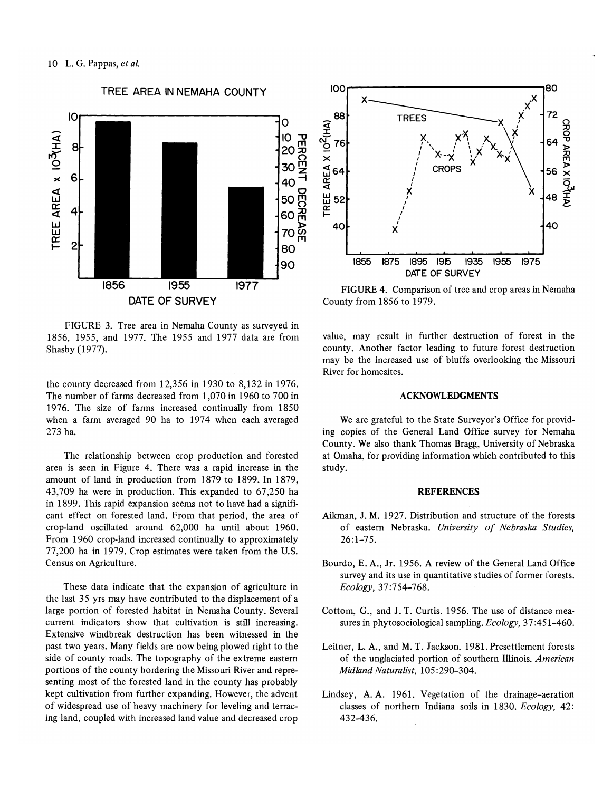

FIGURE 3. Tree area in Nemaha County as surveyed in 1856, 1955, and 1977. The 1955 and 1977 data are from Shasby (1977).

the county decreased from 12,356 in 1930 to 8,132 in 1976. The number of farms decreased from 1,070 in 1960 to 700 in 1976. The size of farms increased continually from 1850 when a farm averaged 90 ha to 1974 when each averaged 273 ha.

The relationship between crop production and forested area is seen in Figure 4. There was a rapid increase in the amount of land in production from 1879 to 1899. In 1879, 43,709 ha were in production. This expanded to 67,250 ha in 1899. This rapid expansion seems not to have had a significant effect on forested land. From that period, the area of crop-land oscillated around 62,000 ha until about 1960. From 1960 crop-land increased continually to approximately 77,200 ha in 1979. Crop estimates were taken from the U.S. Census on Agriculture.

These data indicate that the expansion of agriculture in the last 35 yrs may have contributed to the displacement of a large portion of forested habitat in Nemaha County. Several current indicators show that cultivation is still increasing. Extensive windbreak destruction has been witnessed in the past two years. Many fields are now being plowed right to the side of county roads. The topography of the extreme eastern portions of the county bordering the Missouri River and representing most of the forested land in the county has probably kept cultivation from further expanding. However, the advent of widespread use of heavy machinery for leveling and terracing land, coupled with increased land value and decreased crop



FIGURE 4. Comparison of tree and crop areas in Nemaha County from 1856 to 1979.

value, may result in further destruction of forest in the county. Another factor leading to future forest destruction may be the increased use of bluffs overlooking the Missouri River for homesites.

# **ACKNOWLEDGMENTS**

We are grateful to the State Surveyor's Office for providing copies of the General Land Office survey for Nemaha County. We also thank Thomas Bragg, University of Nebraska at Omaha, for providing information which contributed to this study.

## **REFERENCES**

- Aikman, J. M. 1927. Distribution and structure of the forests of eastern Nebraska. University of Nebraska Studies.  $26:1 - 75.$
- Bourdo, E. A., Jr. 1956. A review of the General Land Office survey and its use in quantitative studies of former forests. Ecology, 37:754-768.
- Cottom, G., and J. T. Curtis. 1956. The use of distance measures in phytosociological sampling. Ecology, 37:451-460.
- Leitner, L. A., and M. T. Jackson. 1981. Presettlement forests of the unglaciated portion of southern Illinois. American Midland Naturalist, 105:290-304.
- Lindsey, A.A. 1961. Vegetation of the drainage-aeration classes of northern Indiana soils in 1830. Ecology, 42: 432-436.